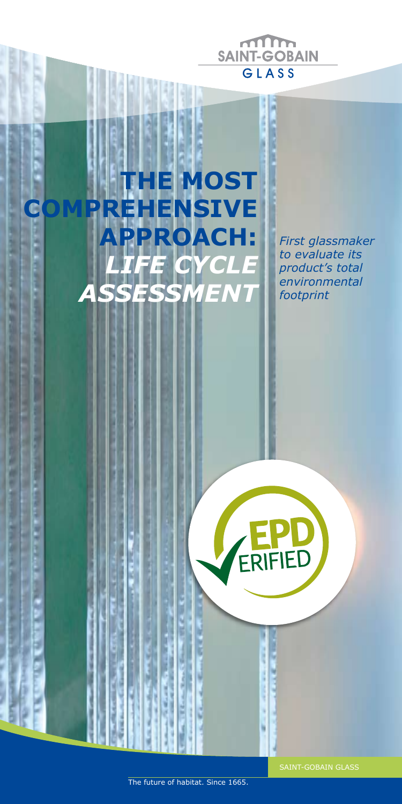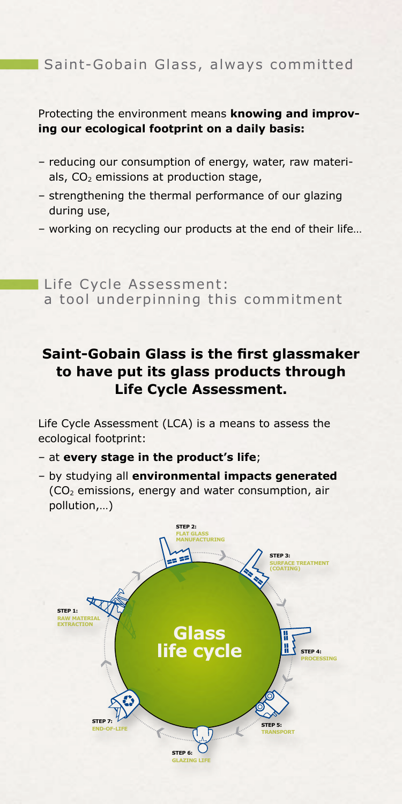## Saint-Gobain Glass, always committed

Protecting the environment means **knowing and improving our ecological footprint on a daily basis:**

- reducing our consumption of energy, water, raw materials,  $CO<sub>2</sub>$  emissions at production stage,
- strengthening the thermal performance of our glazing during use,
- working on recycling our products at the end of their life…

Life Cycle Assessment: a tool underpinning this commitment

## **Saint-Gobain Glass is the first glassmaker to have put its glass products through Life Cycle Assessment.**

Life Cycle Assessment (LCA) is a means to assess the ecological footprint:

- at **every stage in the product's life**;
- by studying all **environmental impacts generated** (CO2 emissions, energy and water consumption, air pollution,…)

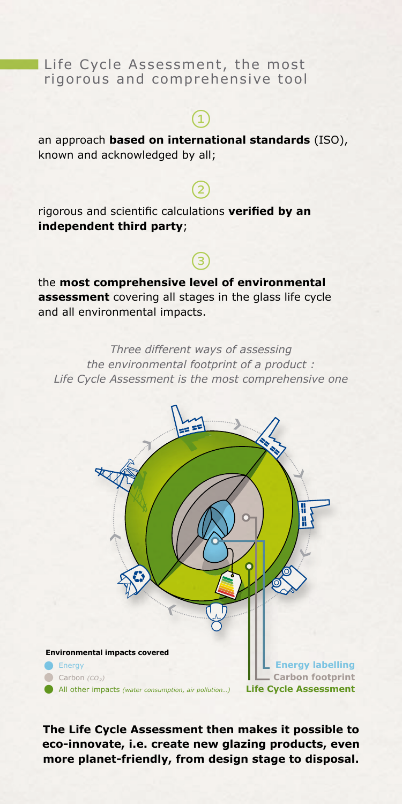### Life Cycle Assessment, the most rigorous and comprehensive tool

# $\bigcirc$

an approach **based on international standards** (ISO), known and acknowledged by all;

# $\circled{2}$

 $\bigcirc$ 

rigorous and scientific calculations **verified by an independent third party**;

the **most comprehensive level of environmental assessment** covering all stages in the glass life cycle and all environmental impacts.

*Three different ways of assessing the environmental footprint of a product : Life Cycle Assessment is the most comprehensive one*



**The Life Cycle Assessment then makes it possible to eco-innovate, i.e. create new glazing products, even more planet-friendly, from design stage to disposal.**